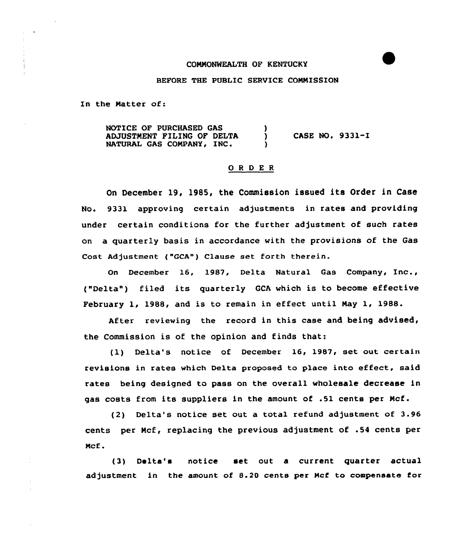# COMMONWEALTH OF KENTUCKY

### BEFORE THE PUBLIC SERVICE CONNISSION

In the Matter of:

NOTICE OF PURCHASED GAS ADJUSTMENT FILING OF DELTA ADJUSTMENT FILING OF DELTA  $(1, 0.9331 - 1.006)$ <br>NATURAL GAS COMPANY, INC.

### OR <sup>D</sup> E R

On December 19, 1985, the Commission issued its Order in Case No. 9331 approving certain adjustments in rates and providing under certain conditions for the further adjustment of such rates on a quarterly basis in accordance with the provisions of the Gas Cost Adjustment ("GCA") Clause set forth therein.

On December 16, 1987, De1ta Natural Gas Company, Inc., ("Delta") filed its quarterly GCA which is to become effective February 1, 1988, and is to remain in effect until Nay 1, 1988.

After reviewing the record in this case and being advised, the Commission is of the opinion and finds that:

(1) Delta's notice of December 16, 1987, set out certain revisions in rates which Delta proposed to place into effect, said rates being designed to pass on the overall wholesale decrease in gas costs from its suppliers in the amount of .51 cents per Ncf.

(2) Delta's notice set out a total refund adjustment of 3.96 cents per Mcf, replacing the previous adjustment of .54 cents per Ncf .

(3) Delta's notice set out a current quarter actual adjustment in the amount of 8.20 cents per Mcf to compensate for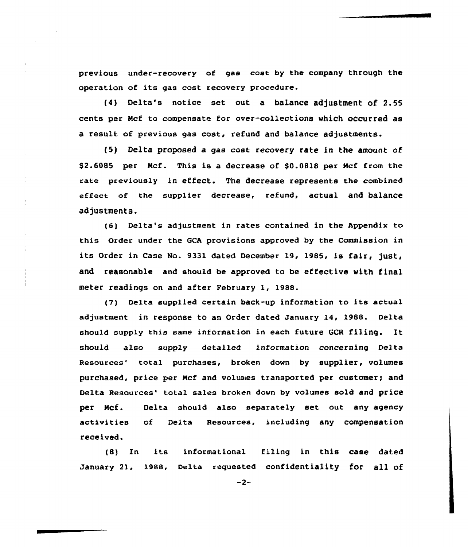previous under-recovery of gas cost by the company through the operation of its gas cost recovery procedure.

(4) Delta's notice set out a balance adjustment of 2.55 cents per Ncf to compensate for over-collections which occurred as a result of previous gas cost, refund and balance adjustments.

(5) Delta proposed a gas cost recovery rate in the amount of \$2.6085 per Mcf. This is a decrease of \$0.0818 per Mcf from the rate previously in effect. The decrease represents the combined effect of the supplier decrease, refund, actual and balance adjustments.

(6) Delta's adjustment in rates contained in the Appendix to this Order under the GCA provisions approved by the Commission in its Order in Case No. 9331 dated December 19, 1985, is fair, just, and reasonable and should be approved to be effective with final meter readings on and after February 1, 1988.

(7) Delta supplied certain back-up information to its actual adjustment in response to an Order dated January 14, 1988. Delta should supply this same information in each future GCR filing. It should also supply detailed information concerning Delta Resources' total purchases, broken down by supplier, volumes purchased, price per Ncf and volumes transported per customer; and Delta Resources' total sales broken down by volumes sold and price per Mcf. Delta should also separately set out any agency activities of Delta Resources, including any compensation received.

(8) In its informational filing in this case dated January 21, 1988, Delta requested confidentiality for all of

 $-2-$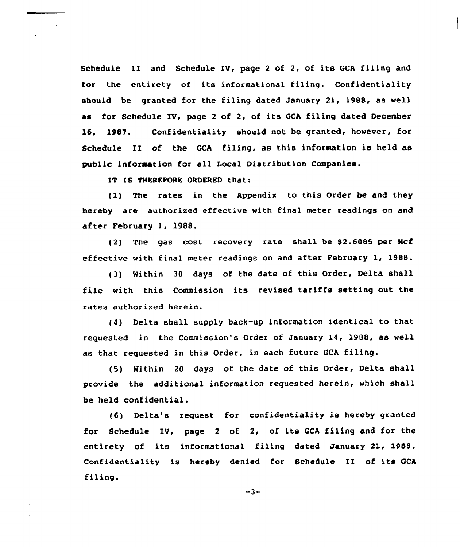Schedule II and Schedule IV, page <sup>2</sup> of 2, of its GCA filing and for the entirety of its informational filing. Confidentiality should be granted for the filing dated January 21, 1988, as well as for Schedule IV, page <sup>2</sup> of 2, of its GCA filing dated December 16, 1987. Confidentiality should not be granted, however, for Schedule II of the GCA filing, as this information is held as public information for all Local Distribution Companies.

IT IS THEREFORE ORDERED that:

{1) The rates in the Appendix to this Order be and they hereby are authorized effective with final meter readings on and after February 1, 1988.

(2) The gas cost recovery rate shall be \$2.6085 per Mcf effective with final meter readings on and after February 1, 1988.

(3) Within <sup>30</sup> days of the date of this Order, Delta shall file with this Commission its revised tariffs setting out the rates authorized herein.

(4) Delta shall supply back-up information identical to that requested in the Commission's Order of January 14, 1988, as well as that requested in this Order, in each future GCA filing.

(5) Within <sup>20</sup> days of the date of this Order, Delta shall provide the additional information requested herein, which shall be held confidential.

(6) Delta's request for confidentiality is hereby granted for Schedule IV, page <sup>2</sup> of 2, of its GCA filing and for the entirety of its informational filing dated January 21, 1988. Confidentiality is hereby denied for Schedule II of its GCA filing.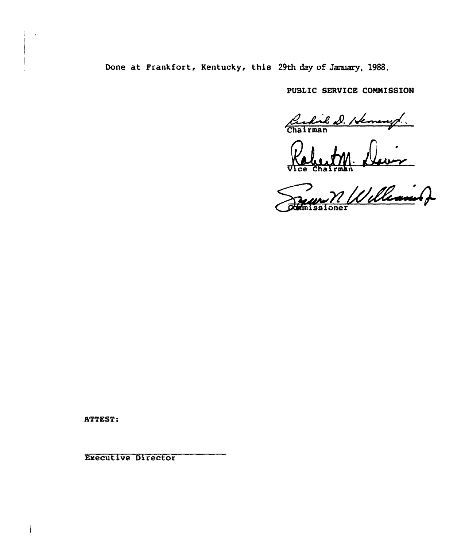Done at Frankfort, Kentucky, this 29th day of January, 1988.

PUBLIC SERUICE COMNISSION

Cedil D. Hemany.

Vice Chairma

issione

ATTEST

Executive Director